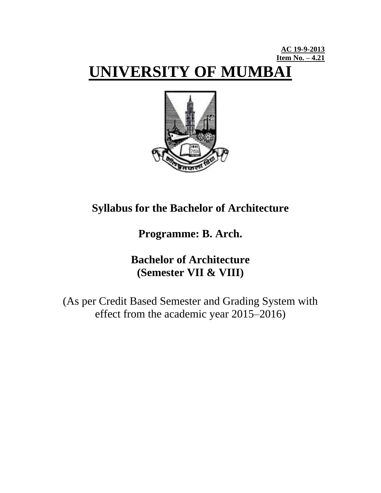# **AC 19-9-2013 Item No. – 4.21 UNIVERSITY OF MUMBAI**



# **Syllabus for the Bachelor of Architecture**

**Programme: B. Arch.**

# **Bachelor of Architecture (Semester VII & VIII)**

(As per Credit Based Semester and Grading System with effect from the academic year 2015–2016)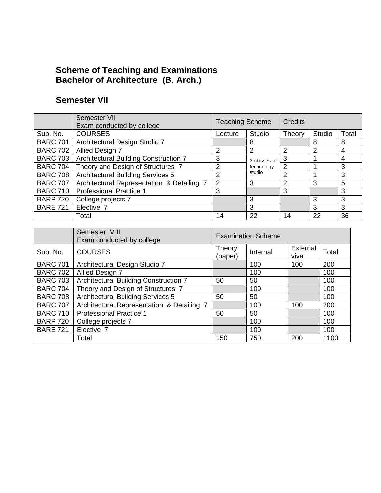# **Scheme of Teaching and Examinations Bachelor of Architecture (B. Arch.)**

# **Semester VII**

|                 | Semester VII<br>Exam conducted by college  | <b>Teaching Scheme</b> |              | Credits        |        |       |
|-----------------|--------------------------------------------|------------------------|--------------|----------------|--------|-------|
| Sub. No.        | <b>COURSES</b>                             | Lecture                | Studio       | Theory         | Studio | Total |
| <b>BARC 701</b> | Architectural Design Studio 7              |                        | 8            |                | 8      | 8     |
| <b>BARC 702</b> | <b>Allied Design 7</b>                     | 2                      | 2            | 2              | 2      | 4     |
| <b>BARC 703</b> | Architectural Building Construction 7      | 3                      | 3 classes of | 3              |        | 4     |
| <b>BARC 704</b> | Theory and Design of Structures 7          | 2                      | technology   | 2              |        | 3     |
| <b>BARC 708</b> | <b>Architectural Building Services 5</b>   | 2                      | studio       | $\mathfrak{p}$ |        | 3     |
| <b>BARC 707</b> | Architectural Representation & Detailing 7 | 2                      | 3            | 2              | 3      | 5     |
| <b>BARC 710</b> | <b>Professional Practice 1</b>             | 3                      |              | 3              |        | 3     |
| <b>BARP 720</b> | College projects 7                         |                        | 3            |                | 3      | 3     |
| <b>BARE 721</b> | Elective 7                                 |                        | 3            |                | 3      | 3     |
|                 | Total                                      | 14                     | 22           | 14             | 22     | 36    |

|                 | Semester VII<br>Exam conducted by college  | <b>Examination Scheme</b> |          |                  |       |  |  |  |
|-----------------|--------------------------------------------|---------------------------|----------|------------------|-------|--|--|--|
| Sub. No.        | <b>COURSES</b>                             | Theory<br>(paper)         | Internal | External<br>viva | Total |  |  |  |
| <b>BARC 701</b> | Architectural Design Studio 7              |                           | 100      | 100              | 200   |  |  |  |
| <b>BARC 702</b> | Allied Design 7                            |                           | 100      |                  | 100   |  |  |  |
| <b>BARC 703</b> | Architectural Building Construction 7      | 50                        | 50       |                  | 100   |  |  |  |
| <b>BARC 704</b> | Theory and Design of Structures 7          |                           | 100      |                  | 100   |  |  |  |
| <b>BARC 708</b> | <b>Architectural Building Services 5</b>   | 50                        | 50       |                  | 100   |  |  |  |
| <b>BARC 707</b> | Architectural Representation & Detailing 7 |                           | 100      | 100              | 200   |  |  |  |
| <b>BARC 710</b> | <b>Professional Practice 1</b>             | 50                        | 50       |                  | 100   |  |  |  |
| <b>BARP 720</b> | College projects 7                         |                           | 100      |                  | 100   |  |  |  |
| <b>BARE 721</b> | Elective 7                                 |                           | 100      |                  | 100   |  |  |  |
|                 | Total                                      | 150                       | 750      | 200              | 1100  |  |  |  |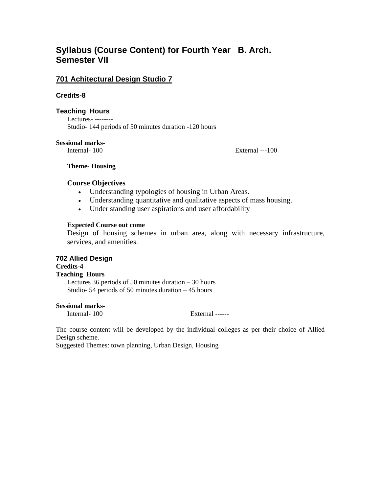# **Syllabus (Course Content) for Fourth Year B. Arch. Semester VII**

# **701 Achitectural Design Studio 7**

#### **Credits-8**

#### **Teaching Hours**

Lectures- -------- Studio- 144 periods of 50 minutes duration -120 hours

#### **Sessional marks-**

Internal- 100 External ---100

#### **Theme- Housing**

## **Course Objectives**

- Understanding typologies of housing in Urban Areas.
- Understanding quantitative and qualitative aspects of mass housing.
- Under standing user aspirations and user affordability

#### **Expected Course out come**

Design of housing schemes in urban area, along with necessary infrastructure, services, and amenities.

#### **702 Allied Design Credits-4**

# **Teaching Hours**

Lectures 36 periods of 50 minutes duration  $-30$  hours Studio- 54 periods of 50 minutes duration – 45 hours

#### **Sessional marks-**

Internal- 100 External ------

The course content will be developed by the individual colleges as per their choice of Allied Design scheme.

Suggested Themes: town planning, Urban Design, Housing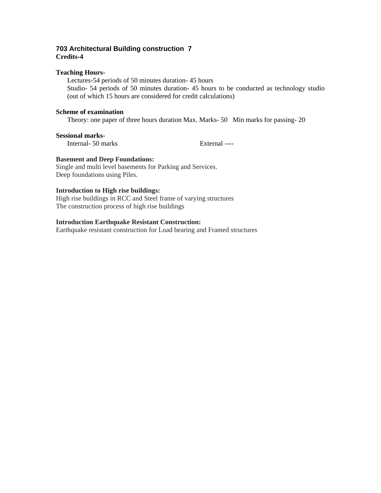#### **703 Architectural Building construction 7 Credits-4**

#### **Teaching Hours-**

Lectures-54 periods of 50 minutes duration- 45 hours Studio- 54 periods of 50 minutes duration- 45 hours to be conducted as technology studio (out of which 15 hours are considered for credit calculations)

#### **Scheme of examination**

Theory: one paper of three hours duration Max. Marks- 50 Min marks for passing- 20

#### **Sessional marks-**

Internal- 50 marks External ----

#### **Basement and Deep Foundations:**

Single and multi level basements for Parking and Services. Deep foundations using Piles.

#### **Introduction to High rise buildings:**

High rise buildings in RCC and Steel frame of varying structures The construction process of high rise buildings

#### **Introduction Earthquake Resistant Construction:**

Earthquake resistant construction for Load bearing and Framed structures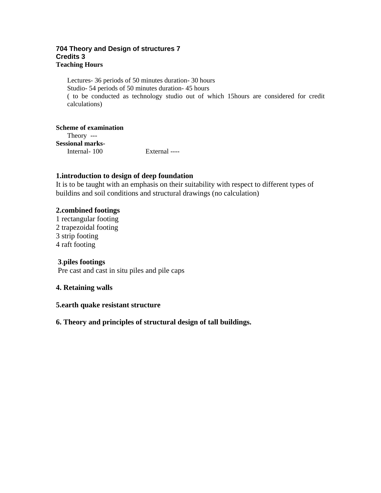#### **704 Theory and Design of structures 7 Credits 3 Teaching Hours**

Lectures- 36 periods of 50 minutes duration- 30 hours Studio- 54 periods of 50 minutes duration- 45 hours ( to be conducted as technology studio out of which 15hours are considered for credit calculations)

**Scheme of examination** Theory --- **Sessional marks-**Internal- 100 External ----

## **1.introduction to design of deep foundation**

It is to be taught with an emphasis on their suitability with respect to different types of buildins and soil conditions and structural drawings (no calculation)

## **2.combined footings**

1 rectangular footing 2 trapezoidal footing 3 strip footing 4 raft footing

# **3**.**piles footings**

Pre cast and cast in situ piles and pile caps

## **4. Retaining walls**

## **5.earth quake resistant structure**

# **6. Theory and principles of structural design of tall buildings.**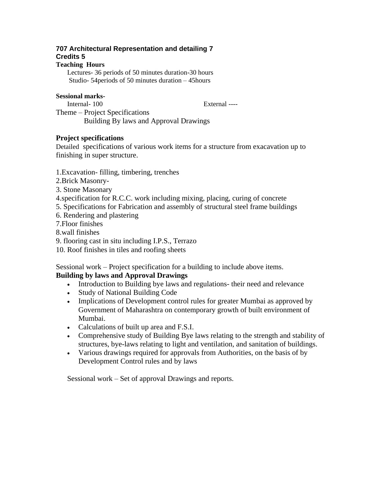# **707 Architectural Representation and detailing 7 Credits 5**

#### **Teaching Hours**

Lectures- 36 periods of 50 minutes duration-30 hours Studio- 54periods of 50 minutes duration – 45hours

#### **Sessional marks-**

Internal- 100 External ----

Theme – Project Specifications Building By laws and Approval Drawings

## **Project specifications**

Detailed specifications of various work items for a structure from exacavation up to finishing in super structure.

## 1.Excavation- filling, timbering, trenches

- 2.Brick Masonry-
- 3. Stone Masonary
- 4.specification for R.C.C. work including mixing, placing, curing of concrete
- 5. Specifications for Fabrication and assembly of structural steel frame buildings
- 6. Rendering and plastering
- 7.Floor finishes

8.wall finishes

- 9. flooring cast in situ including I.P.S., Terrazo
- 10. Roof finishes in tiles and roofing sheets

Sessional work – Project specification for a building to include above items.

# **Building by laws and Approval Drawings**

- Introduction to Building bye laws and regulations- their need and relevance
- Study of National Building Code
- Implications of Development control rules for greater Mumbai as approved by Government of Maharashtra on contemporary growth of built environment of Mumbai.
- Calculations of built up area and F.S.I.
- Comprehensive study of Building Bye laws relating to the strength and stability of structures, bye-laws relating to light and ventilation, and sanitation of buildings.
- Various drawings required for approvals from Authorities, on the basis of by Development Control rules and by laws

Sessional work – Set of approval Drawings and reports.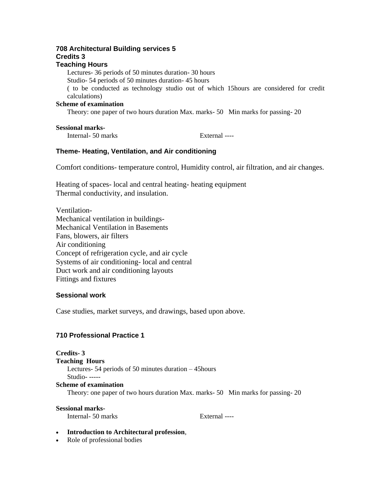# **708 Architectural Building services 5 Credits 3**

# **Teaching Hours**

Lectures- 36 periods of 50 minutes duration- 30 hours

Studio- 54 periods of 50 minutes duration- 45 hours

( to be conducted as technology studio out of which 15hours are considered for credit calculations)

#### **Scheme of examination**

Theory: one paper of two hours duration Max. marks- 50 Min marks for passing- 20

#### **Sessional marks-**

Internal- 50 marks External ----

## **Theme- Heating, Ventilation, and Air conditioning**

Comfort conditions- temperature control, Humidity control, air filtration, and air changes.

Heating of spaces- local and central heating- heating equipment Thermal conductivity, and insulation.

Ventilation-Mechanical ventilation in buildings-Mechanical Ventilation in Basements Fans, blowers, air filters Air conditioning Concept of refrigeration cycle, and air cycle Systems of air conditioning- local and central Duct work and air conditioning layouts Fittings and fixtures

#### **Sessional work**

Case studies, market surveys, and drawings, based upon above.

# **710 Professional Practice 1**

**Credits- 3 Teaching Hours** Lectures- 54 periods of 50 minutes duration – 45hours Studio- ----- **Scheme of examination**

Theory: one paper of two hours duration Max. marks- 50 Min marks for passing- 20

#### **Sessional marks-**

Internal- 50 marks External ----

#### **Introduction to Architectural profession**,

• Role of professional bodies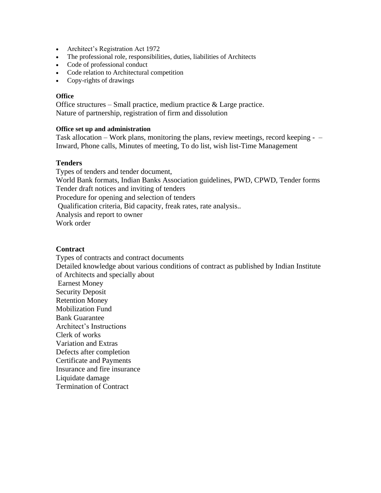- Architect's Registration Act 1972
- The professional role, responsibilities, duties, liabilities of Architects
- Code of professional conduct
- Code relation to Architectural competition
- Copy-rights of drawings

#### **Office**

Office structures – Small practice, medium practice & Large practice. Nature of partnership, registration of firm and dissolution

#### **Office set up and administration**

Task allocation – Work plans, monitoring the plans, review meetings, record keeping - – Inward, Phone calls, Minutes of meeting, To do list, wish list-Time Management

#### **Tenders**

Types of tenders and tender document, World Bank formats, Indian Banks Association guidelines, PWD, CPWD, Tender forms Tender draft notices and inviting of tenders Procedure for opening and selection of tenders Qualification criteria, Bid capacity, freak rates, rate analysis.. Analysis and report to owner Work order

#### **Contract**

Types of contracts and contract documents Detailed knowledge about various conditions of contract as published by Indian Institute of Architects and specially about Earnest Money Security Deposit Retention Money Mobilization Fund Bank Guarantee Architect's Instructions Clerk of works Variation and Extras Defects after completion Certificate and Payments Insurance and fire insurance Liquidate damage Termination of Contract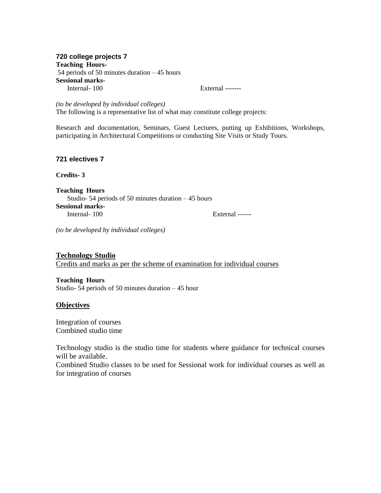#### **720 college projects 7 Teaching Hours-**54 periods of 50 minutes duration – 45 hours **Sessional marks-**Internal- 100 External ------**-**

*(to be developed by individual colleges)* The following is a representative list of what may constitute college projects:

Research and documentation, Seminars, Guest Lectures, putting up Exhibitions, Workshops, participating in Architectural Competitions or conducting Site Visits or Study Tours.

#### **721 electives 7**

**Credits- 3**

**Teaching Hours** Studio- 54 periods of 50 minutes duration – 45 hours **Sessional marks-**Internal- 100 External -----**-**

*(to be developed by individual colleges)*

**Technology Studio**

Credits and marks as per the scheme of examination for individual courses

**Teaching Hours** Studio- 54 periods of 50 minutes duration – 45 hour

#### **Objectives**

Integration of courses Combined studio time

Technology studio is the studio time for students where guidance for technical courses will be available.

Combined Studio classes to be used for Sessional work for individual courses as well as for integration of courses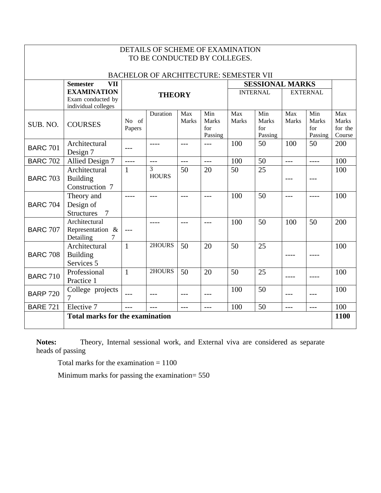| DETAILS OF SCHEME OF EXAMINATION<br>TO BE CONDUCTED BY COLLEGES. |                                                                 |                 |                   |               |                                       |                     |                                       |                     |                                |                                          |
|------------------------------------------------------------------|-----------------------------------------------------------------|-----------------|-------------------|---------------|---------------------------------------|---------------------|---------------------------------------|---------------------|--------------------------------|------------------------------------------|
|                                                                  |                                                                 |                 |                   |               |                                       |                     |                                       |                     |                                |                                          |
| <b>BACHELOR OF ARCHITECTURE: SEMESTER VII</b>                    |                                                                 |                 |                   |               |                                       |                     |                                       |                     |                                |                                          |
|                                                                  | <b>Semester</b><br><b>VII</b>                                   |                 |                   |               |                                       |                     |                                       |                     | <b>SESSIONAL MARKS</b>         |                                          |
|                                                                  | <b>EXAMINATION</b><br>Exam conducted by<br>individual colleges  | <b>THEORY</b>   |                   |               | <b>INTERNAL</b>                       |                     | <b>EXTERNAL</b>                       |                     |                                |                                          |
| SUB. NO.                                                         | <b>COURSES</b>                                                  | No of<br>Papers | Duration          | Max<br>Marks  | Min<br><b>Marks</b><br>for<br>Passing | Max<br><b>Marks</b> | Min<br><b>Marks</b><br>for<br>Passing | Max<br><b>Marks</b> | Min<br>Marks<br>for<br>Passing | Max<br><b>Marks</b><br>for the<br>Course |
| <b>BARC 701</b>                                                  | Architectural<br>Design 7                                       | $---$           | $- - - -$         | $---$         | $---$                                 | 100                 | 50                                    | 100                 | 50                             | 200                                      |
| <b>BARC 702</b>                                                  | Allied Design 7                                                 | $\frac{1}{1}$   | $---$             | $-$           | $---$                                 | 100                 | 50                                    | $---$               | $- - - -$                      | 100                                      |
| <b>BARC 703</b>                                                  | Architectural<br><b>Building</b><br>Construction 7              | $\mathbf{1}$    | 3<br><b>HOURS</b> | 50            | 20                                    | 50                  | 25                                    | $---$               | $---$                          | 100                                      |
| <b>BARC 704</b>                                                  | Theory and<br>Design of<br><b>Structures</b><br>$7\phantom{.0}$ | $--- -$         | $---$             | $---$         | $---$                                 | 100                 | 50                                    | $---$               | ----                           | 100                                      |
| <b>BARC 707</b>                                                  | Architectural<br>Representation &<br>Detailing                  | $---$           | ----              | $---$         | $---$                                 | 100                 | 50                                    | 100                 | 50                             | 200                                      |
| <b>BARC 708</b>                                                  | Architectural<br><b>Building</b><br>Services 5                  | $\mathbf{1}$    | 2HOURS            | 50            | 20                                    | 50                  | 25                                    | $--- -$             | $- - - -$                      | 100                                      |
| <b>BARC 710</b>                                                  | Professional<br>Practice 1                                      | $\mathbf{1}$    | 2HOURS            | 50            | 20                                    | 50                  | 25                                    |                     | $--- -$                        | 100                                      |
| <b>BARP 720</b>                                                  | College projects<br>7                                           | $---$           |                   | $---$         | ---                                   | 100                 | 50                                    |                     | $---$                          | 100                                      |
| <b>BARE 721</b>                                                  | Elective 7                                                      | $\frac{1}{2}$   | $---$             | $\frac{1}{2}$ | $---$                                 | 100                 | 50                                    | $---$               | $\frac{1}{2}$                  | 100                                      |
|                                                                  | <b>Total marks for the examination</b>                          |                 |                   |               |                                       |                     |                                       |                     |                                | 1100                                     |
|                                                                  |                                                                 |                 |                   |               |                                       |                     |                                       |                     |                                |                                          |

**Notes:** Theory, Internal sessional work, and External viva are considered as separate heads of passing

Total marks for the examination = 1100

 $\mathsf \Gamma$ 

Minimum marks for passing the examination= 550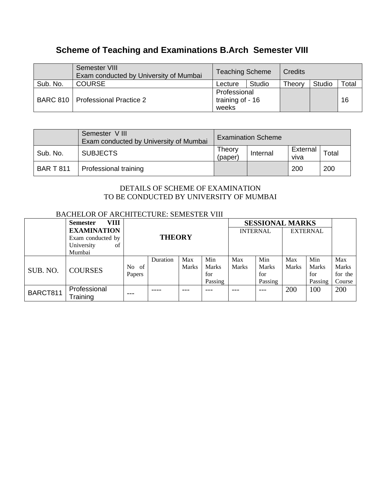# **Scheme of Teaching and Examinations B.Arch Semester VIII**

|          | Semester VIII<br>Exam conducted by University of Mumbai | <b>Teaching Scheme</b>                    |        | Credits |        |       |
|----------|---------------------------------------------------------|-------------------------------------------|--------|---------|--------|-------|
| Sub. No. | <b>COURSE</b>                                           | Lecture                                   | Studio | Theory  | Studio | Total |
|          | BARC 810   Professional Practice 2                      | Professional<br>training of - 16<br>weeks |        |         |        | 16    |

|                  | Semester VIII<br>Exam conducted by University of Mumbai | <b>Examination Scheme</b> |          |                  |                        |  |  |
|------------------|---------------------------------------------------------|---------------------------|----------|------------------|------------------------|--|--|
| Sub. No.         | <b>SUBJECTS</b>                                         | Theory<br>(paper          | Internal | External<br>viva | $\tau$ <sub>otal</sub> |  |  |
| <b>BAR T 811</b> | Professional training                                   |                           |          | 200              | 200                    |  |  |

# DETAILS OF SCHEME OF EXAMINATION TO BE CONDUCTED BY UNIVERSITY OF MUMBAI

# BACHELOR OF ARCHITECTURE: SEMESTER VIII

|          | VIII<br><b>Semester</b> | <b>THEORY</b> |          |              |                 | <b>SESSIONAL MARKS</b> |                 |              |              |              |
|----------|-------------------------|---------------|----------|--------------|-----------------|------------------------|-----------------|--------------|--------------|--------------|
|          | <b>EXAMINATION</b>      |               |          |              | <b>INTERNAL</b> |                        | <b>EXTERNAL</b> |              |              |              |
|          | Exam conducted by       |               |          |              |                 |                        |                 |              |              |              |
|          | University<br>of        |               |          |              |                 |                        |                 |              |              |              |
|          | Mumbai                  |               |          |              |                 |                        |                 |              |              |              |
|          |                         |               | Duration | Max          | Min             | Max                    | Min             | Max          | Min          | Max          |
| SUB. NO. | <b>COURSES</b>          | No<br>- of    |          | <b>Marks</b> | <b>Marks</b>    | <b>Marks</b>           | <b>Marks</b>    | <b>Marks</b> | <b>Marks</b> | <b>Marks</b> |
|          |                         | Papers        |          |              | for             |                        | for             |              | for          | for the      |
|          |                         |               |          |              | Passing         |                        | Passing         |              | Passing      | Course       |
| BARCT811 | Professional            |               |          |              |                 |                        |                 | 200          | 100          | 200          |
|          | Training                | ---           |          |              |                 |                        |                 |              |              |              |